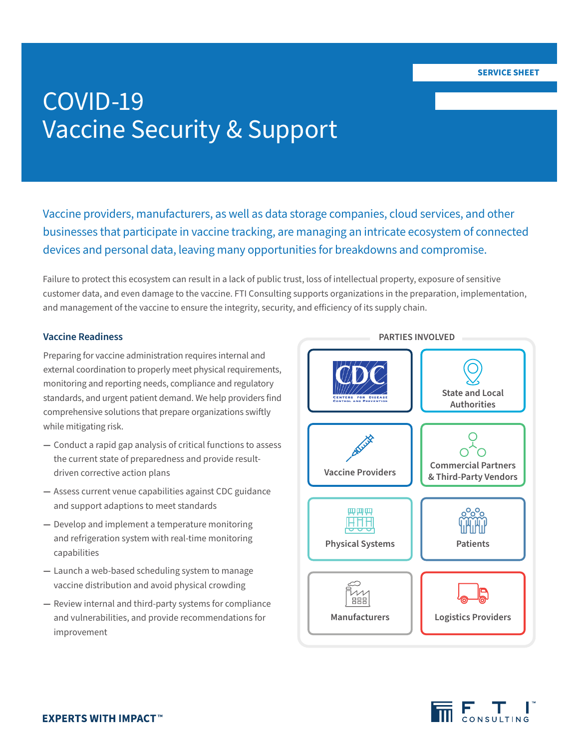# COVID-19 Vaccine Security & Support

Vaccine providers, manufacturers, as well as data storage companies, cloud services, and other businesses that participate in vaccine tracking, are managing an intricate ecosystem of connected devices and personal data, leaving many opportunities for breakdowns and compromise.

Failure to protect this ecosystem can result in a lack of public trust, loss of intellectual property, exposure of sensitive customer data, and even damage to the vaccine. FTI Consulting supports organizations in the preparation, implementation, and management of the vaccine to ensure the integrity, security, and efficiency of its supply chain.

#### **Vaccine Readiness**

Preparing for vaccine administration requires internal and external coordination to properly meet physical requirements, monitoring and reporting needs, compliance and regulatory standards, and urgent patient demand. We help providers find comprehensive solutions that prepare organizations swiftly while mitigating risk.

- **—** Conduct a rapid gap analysis of critical functions to assess the current state of preparedness and provide resultdriven corrective action plans
- **—** Assess current venue capabilities against CDC guidance and support adaptions to meet standards
- **—** Develop and implement a temperature monitoring and refrigeration system with real-time monitoring capabilities
- **—** Launch a web-based scheduling system to manage vaccine distribution and avoid physical crowding
- **—** Review internal and third-party systems for compliance and vulnerabilities, and provide recommendations for improvement



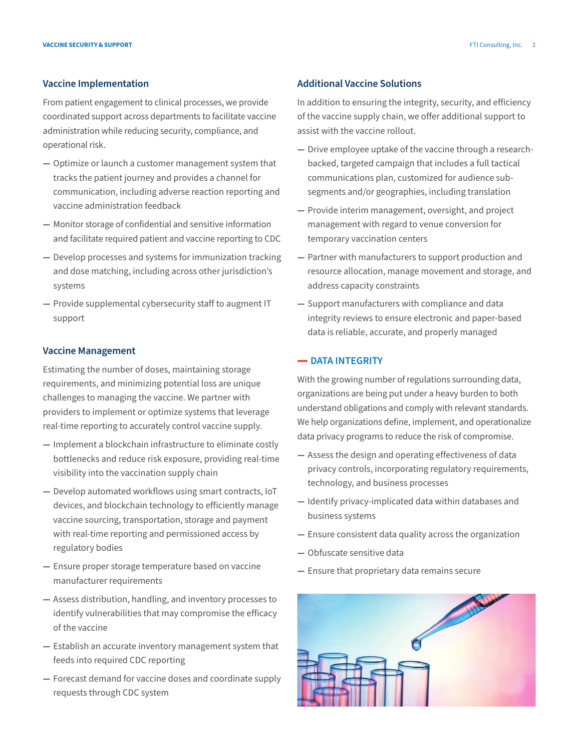#### **Vaccine Implementation**

From patient engagement to clinical processes, we provide coordinated support across departments to facilitate vaccine administration while reducing security, compliance, and operational risk.

- **—** Optimize or launch a customer management system that tracks the patient journey and provides a channel for communication, including adverse reaction reporting and vaccine administration feedback
- **—** Monitor storage of confidential and sensitive information and facilitate required patient and vaccine reporting to CDC
- **—** Develop processes and systems for immunization tracking and dose matching, including across other jurisdiction's systems
- **—** Provide supplemental cybersecurity staff to augment IT support

#### **Vaccine Management**

Estimating the number of doses, maintaining storage requirements, and minimizing potential loss are unique challenges to managing the vaccine. We partner with providers to implement or optimize systems that leverage real-time reporting to accurately control vaccine supply.

- **—** Implement a blockchain infrastructure to eliminate costly bottlenecks and reduce risk exposure, providing real-time visibility into the vaccination supply chain
- **—** Develop automated workflows using smart contracts, IoT devices, and blockchain technology to efficiently manage vaccine sourcing, transportation, storage and payment with real-time reporting and permissioned access by regulatory bodies
- **—** Ensure proper storage temperature based on vaccine manufacturer requirements
- **—** Assess distribution, handling, and inventory processes to identify vulnerabilities that may compromise the efficacy of the vaccine
- **—** Establish an accurate inventory management system that feeds into required CDC reporting
- **—** Forecast demand for vaccine doses and coordinate supply requests through CDC system

#### **Additional Vaccine Solutions**

In addition to ensuring the integrity, security, and efficiency of the vaccine supply chain, we offer additional support to assist with the vaccine rollout.

- **—** Drive employee uptake of the vaccine through a researchbacked, targeted campaign that includes a full tactical communications plan, customized for audience subsegments and/or geographies, including translation
- **—** Provide interim management, oversight, and project management with regard to venue conversion for temporary vaccination centers
- **—** Partner with manufacturers to support production and resource allocation, manage movement and storage, and address capacity constraints
- **—** Support manufacturers with compliance and data integrity reviews to ensure electronic and paper-based data is reliable, accurate, and properly managed

#### **- DATA INTEGRITY**

With the growing number of regulations surrounding data, organizations are being put under a heavy burden to both understand obligations and comply with relevant standards. We help organizations define, implement, and operationalize data privacy programs to reduce the risk of compromise.

- **—** Assess the design and operating effectiveness of data privacy controls, incorporating regulatory requirements, technology, and business processes
- **—** Identify privacy-implicated data within databases and business systems
- **—** Ensure consistent data quality across the organization
- **—** Obfuscate sensitive data
- **—** Ensure that proprietary data remains secure

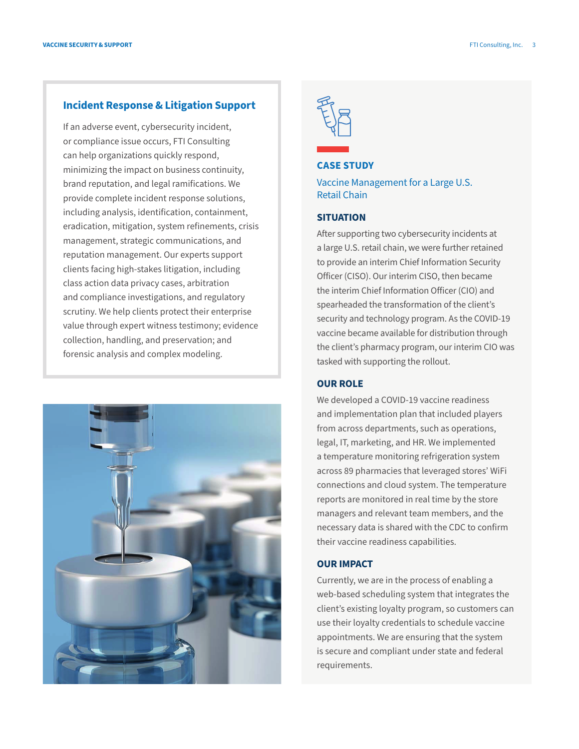#### **Incident Response & Litigation Support**

If an adverse event, cybersecurity incident, or compliance issue occurs, FTI Consulting can help organizations quickly respond, minimizing the impact on business continuity, brand reputation, and legal ramifications. We provide complete incident response solutions, including analysis, identification, containment, eradication, mitigation, system refinements, crisis management, strategic communications, and reputation management. Our experts support clients facing high-stakes litigation, including class action data privacy cases, arbitration and compliance investigations, and regulatory scrutiny. We help clients protect their enterprise value through expert witness testimony; evidence collection, handling, and preservation; and forensic analysis and complex modeling.





### **CASE STUDY**

Vaccine Management for a Large U.S. Retail Chain

#### **SITUATION**

After supporting two cybersecurity incidents at a large U.S. retail chain, we were further retained to provide an interim Chief Information Security Officer (CISO). Our interim CISO, then became the interim Chief Information Officer (CIO) and spearheaded the transformation of the client's security and technology program. As the COVID-19 vaccine became available for distribution through the client's pharmacy program, our interim CIO was tasked with supporting the rollout.

#### **OUR ROLE**

We developed a COVID-19 vaccine readiness and implementation plan that included players from across departments, such as operations, legal, IT, marketing, and HR. We implemented a temperature monitoring refrigeration system across 89 pharmacies that leveraged stores' WiFi connections and cloud system. The temperature reports are monitored in real time by the store managers and relevant team members, and the necessary data is shared with the CDC to confirm their vaccine readiness capabilities.

#### **OUR IMPACT**

Currently, we are in the process of enabling a web-based scheduling system that integrates the client's existing loyalty program, so customers can use their loyalty credentials to schedule vaccine appointments. We are ensuring that the system is secure and compliant under state and federal requirements.